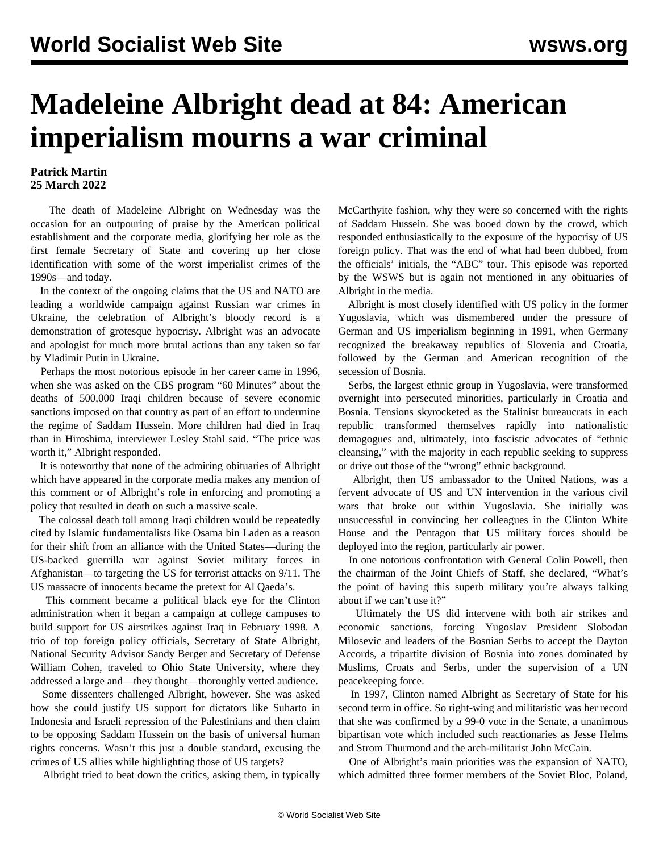## **Madeleine Albright dead at 84: American imperialism mourns a war criminal**

## **Patrick Martin 25 March 2022**

 The death of Madeleine Albright on Wednesday was the occasion for an outpouring of praise by the American political establishment and the corporate media, glorifying her role as the first female Secretary of State and covering up her close identification with some of the worst imperialist crimes of the 1990s—and today.

 In the context of the ongoing claims that the US and NATO are leading a worldwide campaign against Russian war crimes in Ukraine, the celebration of Albright's bloody record is a demonstration of grotesque hypocrisy. Albright was an advocate and apologist for much more brutal actions than any taken so far by Vladimir Putin in Ukraine.

 Perhaps the most notorious episode in her career came in 1996, when she was asked on the CBS program "60 Minutes" about the deaths of 500,000 Iraqi children because of severe economic sanctions imposed on that country as part of an effort to undermine the regime of Saddam Hussein. More children had died in Iraq than in Hiroshima, interviewer Lesley Stahl said. "The price was worth it," Albright responded.

 It is noteworthy that none of the admiring obituaries of Albright which have appeared in the corporate media makes any mention of this comment or of Albright's role in enforcing and promoting a policy that resulted in death on such a massive scale.

 The colossal death toll among Iraqi children would be repeatedly cited by Islamic fundamentalists like Osama bin Laden as a reason for their shift from an alliance with the United States—during the US-backed guerrilla war against Soviet military forces in Afghanistan—to targeting the US for terrorist attacks on 9/11. The US massacre of innocents became the pretext for Al Qaeda's.

 This comment became a political black eye for the Clinton administration when it began a campaign at college campuses to build support for US airstrikes against Iraq in February 1998. A trio of top foreign policy officials, Secretary of State Albright, National Security Advisor Sandy Berger and Secretary of Defense William Cohen, traveled to Ohio State University, where they addressed a large and—they thought—thoroughly vetted audience.

 Some dissenters challenged Albright, however. She was asked how she could justify US support for dictators like Suharto in Indonesia and Israeli repression of the Palestinians and then claim to be opposing Saddam Hussein on the basis of universal human rights concerns. Wasn't this just a double standard, excusing the crimes of US allies while highlighting those of US targets?

Albright tried to beat down the critics, asking them, in typically

McCarthyite fashion, why they were so concerned with the rights of Saddam Hussein. She was booed down by the crowd, which responded enthusiastically to the exposure of the hypocrisy of US foreign policy. That was the end of what had been dubbed, from the officials' initials, the "ABC" tour. This episode was [reported](/en/articles/1998/02/revf-f20.html) by the WSWS but is again not mentioned in any obituaries of Albright in the media.

 Albright is most closely identified with US policy in the former Yugoslavia, which was dismembered under the pressure of German and US imperialism beginning in 1991, when Germany recognized the breakaway republics of Slovenia and Croatia, followed by the German and American recognition of the secession of Bosnia.

 Serbs, the largest ethnic group in Yugoslavia, were transformed overnight into persecuted minorities, particularly in Croatia and Bosnia. Tensions skyrocketed as the Stalinist bureaucrats in each republic transformed themselves rapidly into nationalistic demagogues and, ultimately, into fascistic advocates of "ethnic cleansing," with the majority in each republic seeking to suppress or drive out those of the "wrong" ethnic background.

 Albright, then US ambassador to the United Nations, was a fervent advocate of US and UN intervention in the various civil wars that broke out within Yugoslavia. She initially was unsuccessful in convincing her colleagues in the Clinton White House and the Pentagon that US military forces should be deployed into the region, particularly air power.

 In one notorious confrontation with General Colin Powell, then the chairman of the Joint Chiefs of Staff, she declared, "What's the point of having this superb military you're always talking about if we can't use it?"

 Ultimately the US did intervene with both air strikes and economic sanctions, forcing Yugoslav President Slobodan Milosevic and leaders of the Bosnian Serbs to accept the Dayton Accords, a tripartite division of Bosnia into zones dominated by Muslims, Croats and Serbs, under the supervision of a UN peacekeeping force.

 In 1997, Clinton named Albright as Secretary of State for his second term in office. So right-wing and militaristic was her record that she was confirmed by a 99-0 vote in the Senate, a unanimous bipartisan vote which included such reactionaries as Jesse Helms and Strom Thurmond and the arch-militarist John McCain.

 One of Albright's main priorities was the expansion of NATO, which admitted three former members of the Soviet Bloc, Poland,